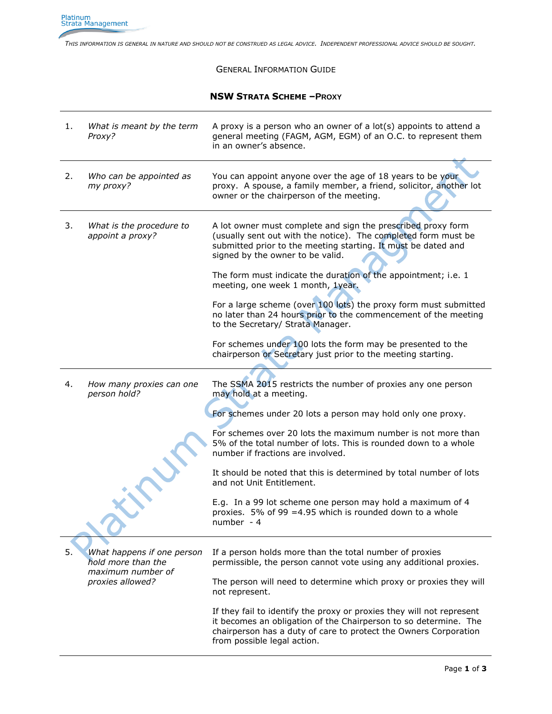*THIS INFORMATION IS GENERAL IN NATURE AND SHOULD NOT BE CONSTRUED AS LEGAL ADVICE. INDEPENDENT PROFESSIONAL ADVICE SHOULD BE SOUGHT.*

## GENERAL INFORMATION GUIDE

## **NSW STRATA SCHEME –PROXY**

| 1. | What is meant by the term<br>Proxy?                                   | A proxy is a person who an owner of a $lot(s)$ appoints to attend a<br>general meeting (FAGM, AGM, EGM) of an O.C. to represent them<br>in an owner's absence.                                                                                                                                        |
|----|-----------------------------------------------------------------------|-------------------------------------------------------------------------------------------------------------------------------------------------------------------------------------------------------------------------------------------------------------------------------------------------------|
| 2. | Who can be appointed as<br>my proxy?                                  | You can appoint anyone over the age of 18 years to be your<br>proxy. A spouse, a family member, a friend, solicitor, another lot<br>owner or the chairperson of the meeting.                                                                                                                          |
| 3. | What is the procedure to<br>appoint a proxy?                          | A lot owner must complete and sign the prescribed proxy form<br>(usually sent out with the notice). The completed form must be<br>submitted prior to the meeting starting. It must be dated and<br>signed by the owner to be valid.<br>The form must indicate the duration of the appointment; i.e. 1 |
|    |                                                                       | meeting, one week 1 month, 1year.                                                                                                                                                                                                                                                                     |
|    |                                                                       | For a large scheme (over 100 lots) the proxy form must submitted<br>no later than 24 hours prior to the commencement of the meeting<br>to the Secretary/ Strata Manager.                                                                                                                              |
|    |                                                                       | For schemes under 100 lots the form may be presented to the<br>chairperson or Secretary just prior to the meeting starting.                                                                                                                                                                           |
| 4. | How many proxies can one<br>person hold?                              | The SSMA 2015 restricts the number of proxies any one person<br>may hold at a meeting.                                                                                                                                                                                                                |
|    |                                                                       | For schemes under 20 lots a person may hold only one proxy.                                                                                                                                                                                                                                           |
|    |                                                                       | For schemes over 20 lots the maximum number is not more than<br>5% of the total number of lots. This is rounded down to a whole<br>number if fractions are involved.                                                                                                                                  |
|    |                                                                       | It should be noted that this is determined by total number of lots<br>and not Unit Entitlement.                                                                                                                                                                                                       |
|    |                                                                       | E.g. In a 99 lot scheme one person may hold a maximum of 4<br>proxies. 5% of 99 = 4.95 which is rounded down to a whole<br>number - 4                                                                                                                                                                 |
| 5. | What happens if one person<br>hold more than the<br>maximum number of | If a person holds more than the total number of proxies<br>permissible, the person cannot vote using any additional proxies.                                                                                                                                                                          |
|    | proxies allowed?                                                      | The person will need to determine which proxy or proxies they will<br>not represent.                                                                                                                                                                                                                  |
|    |                                                                       | If they fail to identify the proxy or proxies they will not represent<br>it becomes an obligation of the Chairperson to so determine. The<br>chairperson has a duty of care to protect the Owners Corporation<br>from possible legal action.                                                          |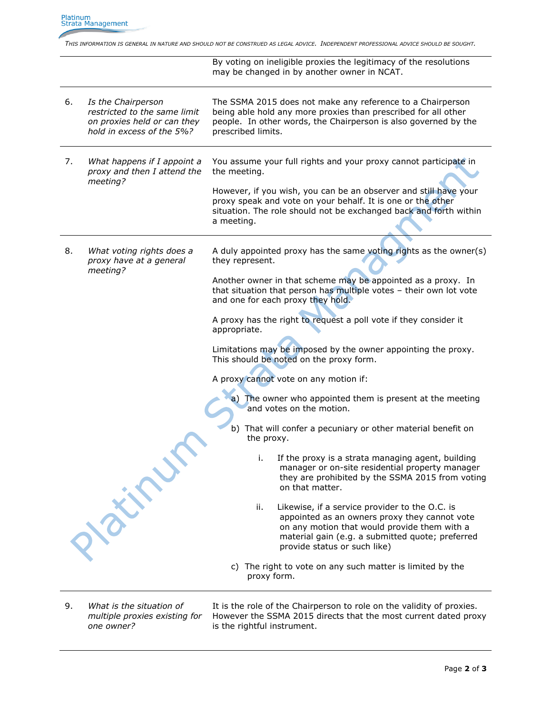*THIS INFORMATION IS GENERAL IN NATURE AND SHOULD NOT BE CONSTRUED AS LEGAL ADVICE. INDEPENDENT PROFESSIONAL ADVICE SHOULD BE SOUGHT.*

By voting on ineligible proxies the legitimacy of the resolutions may be changed in by another owner in NCAT.

- 6. *Is the Chairperson restricted to the same limit on proxies held or can they hold in excess of the 5%?*  The SSMA 2015 does not make any reference to a Chairperson being able hold any more proxies than prescribed for all other people. In other words, the Chairperson is also governed by the prescribed limits.
- 7. *What happens if I appoint a proxy and then I attend the meeting?* You assume your full rights and your proxy cannot participate in the meeting.

However, if you wish, you can be an observer and still have your proxy speak and vote on your behalf. It is one or the other situation. The role should not be exchanged back and forth within a meeting.

8. *What voting rights does a proxy have at a general meeting?*

A duly appointed proxy has the same voting rights as the owner(s) they represent.

Another owner in that scheme may be appointed as a proxy. In that situation that person has multiple votes – their own lot vote and one for each proxy they hold.

A proxy has the right to request a poll vote if they consider it appropriate.

Limitations may be imposed by the owner appointing the proxy. This should be noted on the proxy form.

A proxy cannot vote on any motion if:

The owner who appointed them is present at the meeting and votes on the motion.

- b) That will confer a pecuniary or other material benefit on the proxy.
	- i. If the proxy is a strata managing agent, building manager or on-site residential property manager they are prohibited by the SSMA 2015 from voting on that matter.
	- ii. Likewise, if a service provider to the O.C. is appointed as an owners proxy they cannot vote on any motion that would provide them with a material gain (e.g. a submitted quote; preferred provide status or such like)
- c) The right to vote on any such matter is limited by the proxy form.
- 9. *What is the situation of multiple proxies existing for one owner?*

**NEWS** 

It is the role of the Chairperson to role on the validity of proxies. However the SSMA 2015 directs that the most current dated proxy is the rightful instrument.